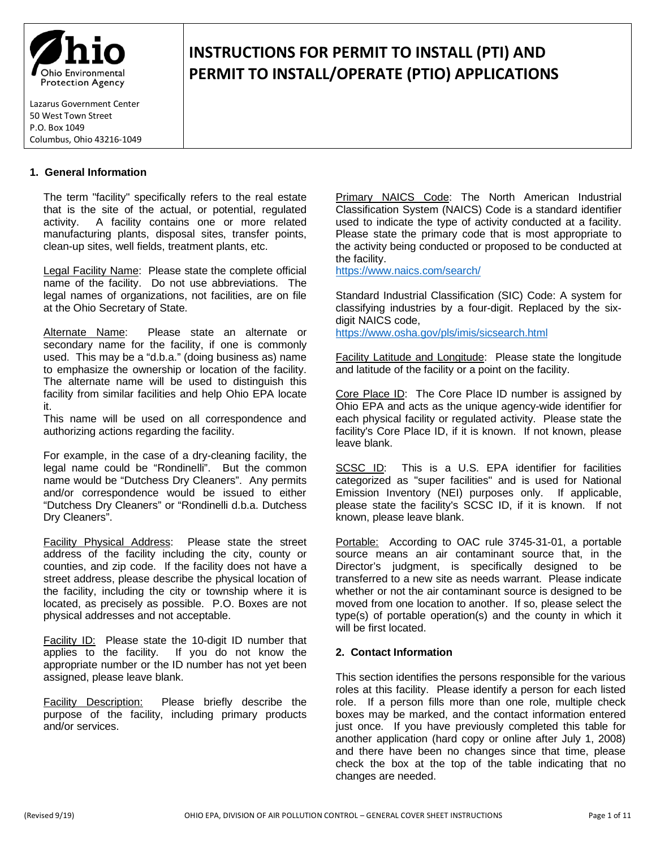

# **INSTRUCTIONS FOR PERMIT TO INSTALL (PTI) AND PERMIT TO INSTALL/OPERATE (PTIO) APPLICATIONS**

### **1. General Information**

The term "facility" specifically refers to the real estate that is the site of the actual, or potential, regulated activity. A facility contains one or more related manufacturing plants, disposal sites, transfer points, clean-up sites, well fields, treatment plants, etc.

Legal Facility Name: Please state the complete official name of the facility. Do not use abbreviations. The legal names of organizations, not facilities, are on file at the Ohio Secretary of State.

Alternate Name: Please state an alternate or secondary name for the facility, if one is commonly used. This may be a "d.b.a." (doing business as) name to emphasize the ownership or location of the facility. The alternate name will be used to distinguish this facility from similar facilities and help Ohio EPA locate it.

This name will be used on all correspondence and authorizing actions regarding the facility.

For example, in the case of a dry-cleaning facility, the legal name could be "Rondinelli". But the common name would be "Dutchess Dry Cleaners". Any permits and/or correspondence would be issued to either "Dutchess Dry Cleaners" or "Rondinelli d.b.a. Dutchess Dry Cleaners".

Facility Physical Address: Please state the street address of the facility including the city, county or counties, and zip code. If the facility does not have a street address, please describe the physical location of the facility, including the city or township where it is located, as precisely as possible. P.O. Boxes are not physical addresses and not acceptable.

Facility ID: Please state the 10-digit ID number that applies to the facility. If you do not know the appropriate number or the ID number has not yet been assigned, please leave blank.

Facility Description: Please briefly describe the purpose of the facility, including primary products and/or services.

Primary NAICS Code: The North American Industrial Classification System (NAICS) Code is a standard identifier used to indicate the type of activity conducted at a facility. Please state the primary code that is most appropriate to the activity being conducted or proposed to be conducted at the facility.

<https://www.naics.com/search/>

Standard Industrial Classification (SIC) Code: A system for classifying industries by a four-digit. Replaced by the sixdigit NAICS code, <https://www.osha.gov/pls/imis/sicsearch.html>

Facility Latitude and Longitude: Please state the longitude and latitude of the facility or a point on the facility.

Core Place ID: The Core Place ID number is assigned by Ohio EPA and acts as the unique agency-wide identifier for each physical facility or regulated activity. Please state the facility's Core Place ID, if it is known. If not known, please leave blank.

SCSC ID: This is a U.S. EPA identifier for facilities categorized as "super facilities" and is used for National Emission Inventory (NEI) purposes only. If applicable, please state the facility's SCSC ID, if it is known. If not known, please leave blank.

Portable: According to OAC rule 3745-31-01, a portable source means an air contaminant source that, in the Director's judgment, is specifically designed to be transferred to a new site as needs warrant. Please indicate whether or not the air contaminant source is designed to be moved from one location to another. If so, please select the type(s) of portable operation(s) and the county in which it will be first located.

#### **2. Contact Information**

This section identifies the persons responsible for the various roles at this facility. Please identify a person for each listed role. If a person fills more than one role, multiple check boxes may be marked, and the contact information entered just once. If you have previously completed this table for another application (hard copy or online after July 1, 2008) and there have been no changes since that time, please check the box at the top of the table indicating that no changes are needed.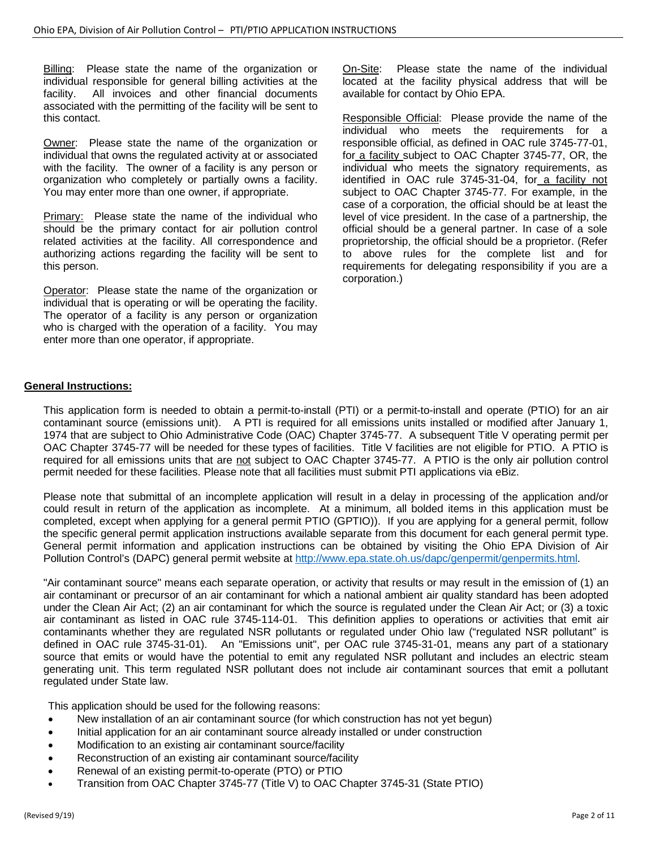Billing: Please state the name of the organization or individual responsible for general billing activities at the facility. All invoices and other financial documents associated with the permitting of the facility will be sent to this contact.

Owner: Please state the name of the organization or individual that owns the regulated activity at or associated with the facility. The owner of a facility is any person or organization who completely or partially owns a facility. You may enter more than one owner, if appropriate.

Primary: Please state the name of the individual who should be the primary contact for air pollution control related activities at the facility. All correspondence and authorizing actions regarding the facility will be sent to this person.

Operator: Please state the name of the organization or individual that is operating or will be operating the facility. The operator of a facility is any person or organization who is charged with the operation of a facility. You may enter more than one operator, if appropriate.

On-Site: Please state the name of the individual located at the facility physical address that will be available for contact by Ohio EPA.

Responsible Official: Please provide the name of the individual who meets the requirements for a responsible official, as defined in OAC rule 3745-77-01, for a facility subject to OAC Chapter 3745-77, OR, the individual who meets the signatory requirements, as identified in OAC rule 3745-31-04, for a facility not subject to OAC Chapter 3745-77. For example, in the case of a corporation, the official should be at least the level of vice president. In the case of a partnership, the official should be a general partner. In case of a sole proprietorship, the official should be a proprietor. (Refer to above rules for the complete list and for requirements for delegating responsibility if you are a corporation.)

# **General Instructions:**

This application form is needed to obtain a permit-to-install (PTI) or a permit-to-install and operate (PTIO) for an air contaminant source (emissions unit). A PTI is required for all emissions units installed or modified after January 1, 1974 that are subject to Ohio Administrative Code (OAC) Chapter 3745-77. A subsequent Title V operating permit per OAC Chapter 3745-77 will be needed for these types of facilities. Title V facilities are not eligible for PTIO. A PTIO is required for all emissions units that are not subject to OAC Chapter 3745-77. A PTIO is the only air pollution control permit needed for these facilities. Please note that all facilities must submit PTI applications via eBiz.

Please note that submittal of an incomplete application will result in a delay in processing of the application and/or could result in return of the application as incomplete. At a minimum, all bolded items in this application must be completed, except when applying for a general permit PTIO (GPTIO)). If you are applying for a general permit, follow the specific general permit application instructions available separate from this document for each general permit type. General permit information and application instructions can be obtained by visiting the Ohio EPA Division of Air Pollution Control's (DAPC) general permit website a[t http://www.epa.state.oh.us/dapc/genpermit/genpermits.html.](http://www.epa.state.oh.us/dapc/genpermit/genpermits.html)

"Air contaminant source" means each separate operation, or activity that results or may result in the emission of (1) an air contaminant or precursor of an air contaminant for which a national ambient air quality standard has been adopted under the Clean Air Act; (2) an air contaminant for which the source is regulated under the Clean Air Act; or (3) a toxic air contaminant as listed in OAC rule 3745-114-01. This definition applies to operations or activities that emit air contaminants whether they are regulated NSR pollutants or regulated under Ohio law ("regulated NSR pollutant" is defined in OAC rule 3745-31-01). An "Emissions unit", per OAC rule 3745-31-01, means any part of a stationary source that emits or would have the potential to emit any regulated NSR pollutant and includes an electric steam generating unit. This term regulated NSR pollutant does not include air contaminant sources that emit a pollutant regulated under State law.

This application should be used for the following reasons:

- New installation of an air contaminant source (for which construction has not yet begun)
- Initial application for an air contaminant source already installed or under construction
- Modification to an existing air contaminant source/facility
- Reconstruction of an existing air contaminant source/facility
- Renewal of an existing permit-to-operate (PTO) or PTIO
- Transition from OAC Chapter 3745-77 (Title V) to OAC Chapter 3745-31 (State PTIO)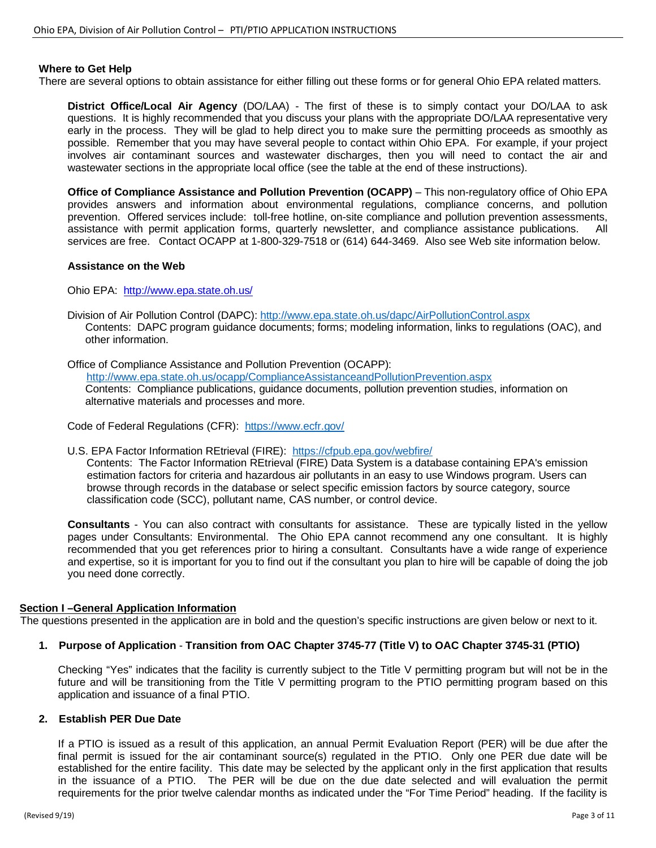#### **Where to Get Help**

There are several options to obtain assistance for either filling out these forms or for general Ohio EPA related matters.

**District Office/Local Air Agency** (DO/LAA) - The first of these is to simply contact your DO/LAA to ask questions. It is highly recommended that you discuss your plans with the appropriate DO/LAA representative very early in the process. They will be glad to help direct you to make sure the permitting proceeds as smoothly as possible. Remember that you may have several people to contact within Ohio EPA. For example, if your project involves air contaminant sources and wastewater discharges, then you will need to contact the air and wastewater sections in the appropriate local office (see the table at the end of these instructions).

**Office of Compliance Assistance and Pollution Prevention (OCAPP)** – This non-regulatory office of Ohio EPA provides answers and information about environmental regulations, compliance concerns, and pollution prevention. Offered services include: toll-free hotline, on-site compliance and pollution prevention assessments, assistance with permit application forms, quarterly newsletter, and compliance assistance publications. All services are free. Contact OCAPP at 1-800-329-7518 or (614) 644-3469. Also see Web site information below.

#### **Assistance on the Web**

Ohio EPA: http://www.epa.state.oh.us/

Division of Air Pollution Control (DAPC):<http://www.epa.state.oh.us/dapc/AirPollutionControl.aspx> Contents: DAPC program guidance documents; forms; modeling information, links to regulations (OAC), and other information.

Office of Compliance Assistance and Pollution Prevention (OCAPP): <http://www.epa.state.oh.us/ocapp/ComplianceAssistanceandPollutionPrevention.aspx> Contents: Compliance publications, guidance documents, pollution prevention studies, information on alternative materials and processes and more.

Code of Federal Regulations (CFR): <https://www.ecfr.gov/>

U.S. EPA Factor Information REtrieval (FIRE): <https://cfpub.epa.gov/webfire/>

Contents: The Factor Information REtrieval (FIRE) Data System is a database containing EPA's emission estimation factors for criteria and hazardous air pollutants in an easy to use Windows program. Users can browse through records in the database or select specific emission factors by source category, source classification code (SCC), pollutant name, CAS number, or control device.

**Consultants** - You can also contract with consultants for assistance. These are typically listed in the yellow pages under Consultants: Environmental. The Ohio EPA cannot recommend any one consultant. It is highly recommended that you get references prior to hiring a consultant. Consultants have a wide range of experience and expertise, so it is important for you to find out if the consultant you plan to hire will be capable of doing the job you need done correctly.

#### **Section I –General Application Information**

The questions presented in the application are in bold and the question's specific instructions are given below or next to it.

#### **1. Purpose of Application** - **Transition from OAC Chapter 3745-77 (Title V) to OAC Chapter 3745-31 (PTIO)**

Checking "Yes" indicates that the facility is currently subject to the Title V permitting program but will not be in the future and will be transitioning from the Title V permitting program to the PTIO permitting program based on this application and issuance of a final PTIO.

# **2. Establish PER Due Date**

If a PTIO is issued as a result of this application, an annual Permit Evaluation Report (PER) will be due after the final permit is issued for the air contaminant source(s) regulated in the PTIO. Only one PER due date will be established for the entire facility. This date may be selected by the applicant only in the first application that results in the issuance of a PTIO. The PER will be due on the due date selected and will evaluation the permit requirements for the prior twelve calendar months as indicated under the "For Time Period" heading. If the facility is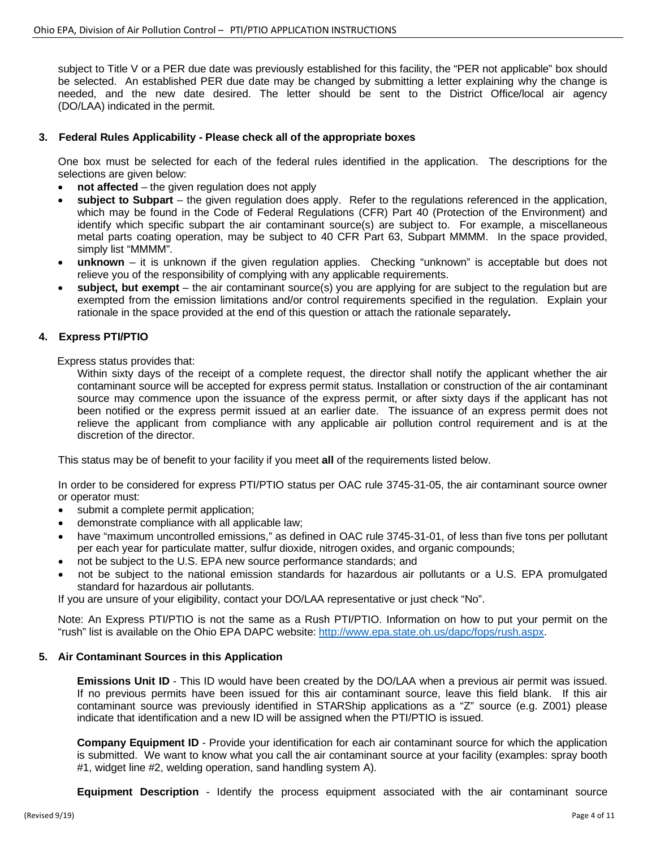subject to Title V or a PER due date was previously established for this facility, the "PER not applicable" box should be selected. An established PER due date may be changed by submitting a letter explaining why the change is needed, and the new date desired. The letter should be sent to the District Office/local air agency (DO/LAA) indicated in the permit.

#### **3. Federal Rules Applicability - Please check all of the appropriate boxes**

One box must be selected for each of the federal rules identified in the application. The descriptions for the selections are given below:

- **not affected** the given regulation does not apply
- **subject to Subpart** the given regulation does apply. Refer to the regulations referenced in the application, which may be found in the Code of Federal Regulations (CFR) Part 40 (Protection of the Environment) and identify which specific subpart the air contaminant source(s) are subject to. For example, a miscellaneous metal parts coating operation, may be subject to 40 CFR Part 63, Subpart MMMM. In the space provided, simply list "MMMM".
- **unknown** it is unknown if the given regulation applies. Checking "unknown" is acceptable but does not relieve you of the responsibility of complying with any applicable requirements.
- **subject, but exempt** the air contaminant source(s) you are applying for are subject to the regulation but are exempted from the emission limitations and/or control requirements specified in the regulation. Explain your rationale in the space provided at the end of this question or attach the rationale separately**.**

#### **4. Express PTI/PTIO**

Express status provides that:

Within sixty days of the receipt of a complete request, the director shall notify the applicant whether the air contaminant source will be accepted for express permit status. Installation or construction of the air contaminant source may commence upon the issuance of the express permit, or after sixty days if the applicant has not been notified or the express permit issued at an earlier date. The issuance of an express permit does not relieve the applicant from compliance with any applicable air pollution control requirement and is at the discretion of the director.

This status may be of benefit to your facility if you meet **all** of the requirements listed below.

In order to be considered for express PTI/PTIO status per OAC rule 3745-31-05, the air contaminant source owner or operator must:

- submit a complete permit application;
- demonstrate compliance with all applicable law;
- have "maximum uncontrolled emissions," as defined in OAC rule 3745-31-01, of less than five tons per pollutant per each year for particulate matter, sulfur dioxide, nitrogen oxides, and organic compounds;
- not be subject to the U.S. EPA new source performance standards; and
- not be subject to the national emission standards for hazardous air pollutants or a U.S. EPA promulgated standard for hazardous air pollutants.

If you are unsure of your eligibility, contact your DO/LAA representative or just check "No".

Note: An Express PTI/PTIO is not the same as a Rush PTI/PTIO. Information on how to put your permit on the "rush" list is available on the Ohio EPA DAPC website[: http://www.epa.state.oh.us/dapc/fops/rush.aspx.](http://www.epa.state.oh.us/dapc/fops/rush.aspx)

#### **5. Air Contaminant Sources in this Application**

**Emissions Unit ID** - This ID would have been created by the DO/LAA when a previous air permit was issued. If no previous permits have been issued for this air contaminant source, leave this field blank. If this air contaminant source was previously identified in STARShip applications as a "Z" source (e.g. Z001) please indicate that identification and a new ID will be assigned when the PTI/PTIO is issued.

**Company Equipment ID** - Provide your identification for each air contaminant source for which the application is submitted. We want to know what you call the air contaminant source at your facility (examples: spray booth #1, widget line #2, welding operation, sand handling system A).

**Equipment Description** - Identify the process equipment associated with the air contaminant source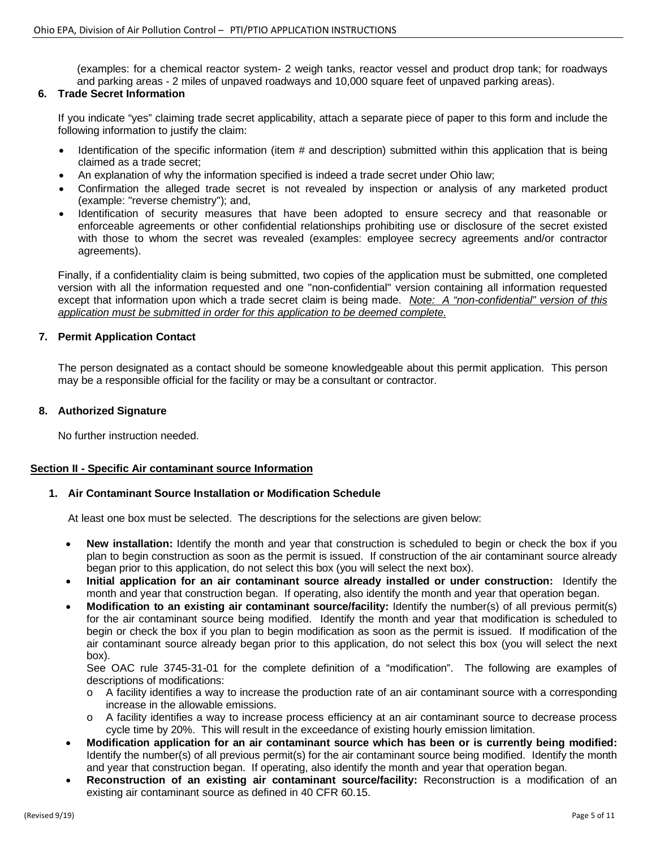(examples: for a chemical reactor system- 2 weigh tanks, reactor vessel and product drop tank; for roadways and parking areas - 2 miles of unpaved roadways and 10,000 square feet of unpaved parking areas).

#### **6. Trade Secret Information**

If you indicate "yes" claiming trade secret applicability, attach a separate piece of paper to this form and include the following information to justify the claim:

- Identification of the specific information (item # and description) submitted within this application that is being claimed as a trade secret;
- An explanation of why the information specified is indeed a trade secret under Ohio law;
- Confirmation the alleged trade secret is not revealed by inspection or analysis of any marketed product (example: "reverse chemistry"); and,
- Identification of security measures that have been adopted to ensure secrecy and that reasonable or enforceable agreements or other confidential relationships prohibiting use or disclosure of the secret existed with those to whom the secret was revealed (examples: employee secrecy agreements and/or contractor agreements).

Finally, if a confidentiality claim is being submitted, two copies of the application must be submitted, one completed version with all the information requested and one "non-confidential" version containing all information requested except that information upon which a trade secret claim is being made. *Note: A "non-confidential" version of this application must be submitted in order for this application to be deemed complete.*

#### **7. Permit Application Contact**

The person designated as a contact should be someone knowledgeable about this permit application. This person may be a responsible official for the facility or may be a consultant or contractor.

#### **8. Authorized Signature**

No further instruction needed.

#### **Section II - Specific Air contaminant source Information**

#### **1. Air Contaminant Source Installation or Modification Schedule**

At least one box must be selected. The descriptions for the selections are given below:

- **New installation:** Identify the month and year that construction is scheduled to begin or check the box if you plan to begin construction as soon as the permit is issued. If construction of the air contaminant source already began prior to this application, do not select this box (you will select the next box).
- **Initial application for an air contaminant source already installed or under construction:** Identify the month and year that construction began. If operating, also identify the month and year that operation began.
- **Modification to an existing air contaminant source/facility:** Identify the number(s) of all previous permit(s) for the air contaminant source being modified. Identify the month and year that modification is scheduled to begin or check the box if you plan to begin modification as soon as the permit is issued. If modification of the air contaminant source already began prior to this application, do not select this box (you will select the next box).

See OAC rule 3745-31-01 for the complete definition of a "modification". The following are examples of descriptions of modifications:

- o A facility identifies a way to increase the production rate of an air contaminant source with a corresponding increase in the allowable emissions.
- o A facility identifies a way to increase process efficiency at an air contaminant source to decrease process cycle time by 20%. This will result in the exceedance of existing hourly emission limitation.
- **Modification application for an air contaminant source which has been or is currently being modified:**  Identify the number(s) of all previous permit(s) for the air contaminant source being modified. Identify the month and year that construction began. If operating, also identify the month and year that operation began.
- **Reconstruction of an existing air contaminant source/facility:** Reconstruction is a modification of an existing air contaminant source as defined in 40 CFR 60.15.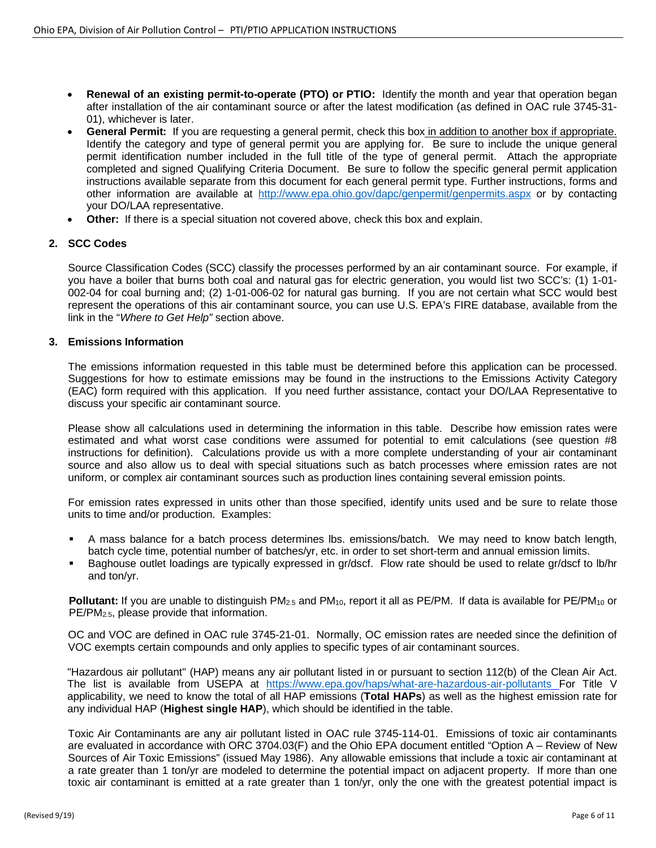- **Renewal of an existing permit-to-operate (PTO) or PTIO:** Identify the month and year that operation began after installation of the air contaminant source or after the latest modification (as defined in OAC rule 3745-31- 01), whichever is later.
- **General Permit:** If you are requesting a general permit, check this box in addition to another box if appropriate. Identify the category and type of general permit you are applying for. Be sure to include the unique general permit identification number included in the full title of the type of general permit. Attach the appropriate completed and signed Qualifying Criteria Document. Be sure to follow the specific general permit application instructions available separate from this document for each general permit type. Further instructions, forms and other information are available at <http://www.epa.ohio.gov/dapc/genpermit/genpermits.aspx> or by contacting your DO/LAA representative.
- **Other:** If there is a special situation not covered above, check this box and explain.

# **2. SCC Codes**

Source Classification Codes (SCC) classify the processes performed by an air contaminant source. For example, if you have a boiler that burns both coal and natural gas for electric generation, you would list two SCC's: (1) 1-01- 002-04 for coal burning and; (2) 1-01-006-02 for natural gas burning. If you are not certain what SCC would best represent the operations of this air contaminant source, you can use U.S. EPA's FIRE database, available from the link in the "*Where to Get Help"* section above.

# **3. Emissions Information**

The emissions information requested in this table must be determined before this application can be processed. Suggestions for how to estimate emissions may be found in the instructions to the Emissions Activity Category (EAC) form required with this application. If you need further assistance, contact your DO/LAA Representative to discuss your specific air contaminant source.

Please show all calculations used in determining the information in this table. Describe how emission rates were estimated and what worst case conditions were assumed for potential to emit calculations (see question #8 instructions for definition). Calculations provide us with a more complete understanding of your air contaminant source and also allow us to deal with special situations such as batch processes where emission rates are not uniform, or complex air contaminant sources such as production lines containing several emission points.

For emission rates expressed in units other than those specified, identify units used and be sure to relate those units to time and/or production. Examples:

- A mass balance for a batch process determines lbs. emissions/batch. We may need to know batch length, batch cycle time, potential number of batches/yr, etc. in order to set short-term and annual emission limits.
- Baghouse outlet loadings are typically expressed in gr/dscf. Flow rate should be used to relate gr/dscf to lb/hr and ton/yr.

**Pollutant:** If you are unable to distinguish PM<sub>2.5</sub> and PM<sub>10</sub>, report it all as PE/PM. If data is available for PE/PM<sub>10</sub> or PE/PM2.5, please provide that information.

OC and VOC are defined in OAC rule 3745-21-01. Normally, OC emission rates are needed since the definition of VOC exempts certain compounds and only applies to specific types of air contaminant sources.

"Hazardous air pollutant" (HAP) means any air pollutant listed in or pursuant to section 112(b) of the Clean Air Act. The list is available from USEPA at <https://www.epa.gov/haps/what-are-hazardous-air-pollutants> For Title V applicability, we need to know the total of all HAP emissions (**Total HAPs**) as well as the highest emission rate for any individual HAP (**Highest single HAP**), which should be identified in the table.

Toxic Air Contaminants are any air pollutant listed in OAC rule 3745-114-01. Emissions of toxic air contaminants are evaluated in accordance with ORC 3704.03(F) and the Ohio EPA document entitled "Option A – Review of New Sources of Air Toxic Emissions" (issued May 1986). Any allowable emissions that include a toxic air contaminant at a rate greater than 1 ton/yr are modeled to determine the potential impact on adjacent property. If more than one toxic air contaminant is emitted at a rate greater than 1 ton/yr, only the one with the greatest potential impact is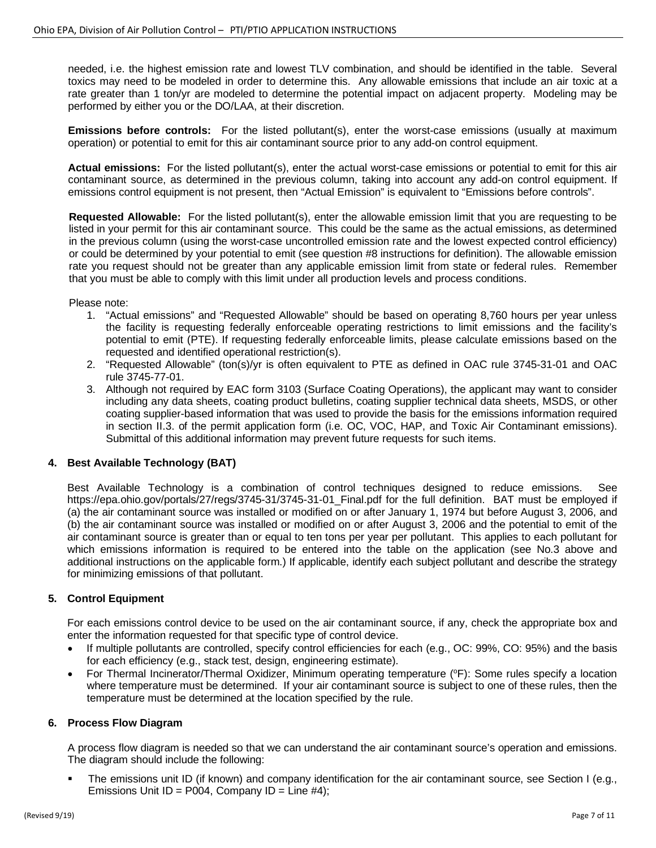needed, i.e. the highest emission rate and lowest TLV combination, and should be identified in the table. Several toxics may need to be modeled in order to determine this. Any allowable emissions that include an air toxic at a rate greater than 1 ton/yr are modeled to determine the potential impact on adjacent property. Modeling may be performed by either you or the DO/LAA, at their discretion.

**Emissions before controls:** For the listed pollutant(s), enter the worst-case emissions (usually at maximum operation) or potential to emit for this air contaminant source prior to any add-on control equipment.

**Actual emissions:** For the listed pollutant(s), enter the actual worst-case emissions or potential to emit for this air contaminant source, as determined in the previous column, taking into account any add-on control equipment. If emissions control equipment is not present, then "Actual Emission" is equivalent to "Emissions before controls".

**Requested Allowable:** For the listed pollutant(s), enter the allowable emission limit that you are requesting to be listed in your permit for this air contaminant source. This could be the same as the actual emissions, as determined in the previous column (using the worst-case uncontrolled emission rate and the lowest expected control efficiency) or could be determined by your potential to emit (see question #8 instructions for definition). The allowable emission rate you request should not be greater than any applicable emission limit from state or federal rules. Remember that you must be able to comply with this limit under all production levels and process conditions.

Please note:

- 1. "Actual emissions" and "Requested Allowable" should be based on operating 8,760 hours per year unless the facility is requesting federally enforceable operating restrictions to limit emissions and the facility's potential to emit (PTE). If requesting federally enforceable limits, please calculate emissions based on the requested and identified operational restriction(s).
- 2. "Requested Allowable" (ton(s)/yr is often equivalent to PTE as defined in OAC rule 3745-31-01 and OAC rule 3745-77-01.
- 3. Although not required by EAC form 3103 (Surface Coating Operations), the applicant may want to consider including any data sheets, coating product bulletins, coating supplier technical data sheets, MSDS, or other coating supplier-based information that was used to provide the basis for the emissions information required in section II.3. of the permit application form (i.e. OC, VOC, HAP, and Toxic Air Contaminant emissions). Submittal of this additional information may prevent future requests for such items.

# **4. Best Available Technology (BAT)**

Best Available Technology is a combination of control techniques designed to reduce emissions. See https://epa.ohio.gov/portals/27/regs/3745-31/3745-31-01 Final.pdf for the full definition. BAT must be employed if (a) the air contaminant source was installed or modified on or after January 1, 1974 but before August 3, 2006, and (b) the air contaminant source was installed or modified on or after August 3, 2006 and the potential to emit of the air contaminant source is greater than or equal to ten tons per year per pollutant. This applies to each pollutant for which emissions information is required to be entered into the table on the application (see No.3 above and additional instructions on the applicable form.) If applicable, identify each subject pollutant and describe the strategy for minimizing emissions of that pollutant.

# **5. Control Equipment**

For each emissions control device to be used on the air contaminant source, if any, check the appropriate box and enter the information requested for that specific type of control device.

- If multiple pollutants are controlled, specify control efficiencies for each (e.g., OC: 99%, CO: 95%) and the basis for each efficiency (e.g., stack test, design, engineering estimate).
- For Thermal Incinerator/Thermal Oxidizer, Minimum operating temperature (°F): Some rules specify a location where temperature must be determined. If your air contaminant source is subject to one of these rules, then the temperature must be determined at the location specified by the rule.

#### **6. Process Flow Diagram**

A process flow diagram is needed so that we can understand the air contaminant source's operation and emissions. The diagram should include the following:

 The emissions unit ID (if known) and company identification for the air contaminant source, see Section I (e.g., Emissions Unit  $ID = PO04$ . Company  $ID = Line #4$ ):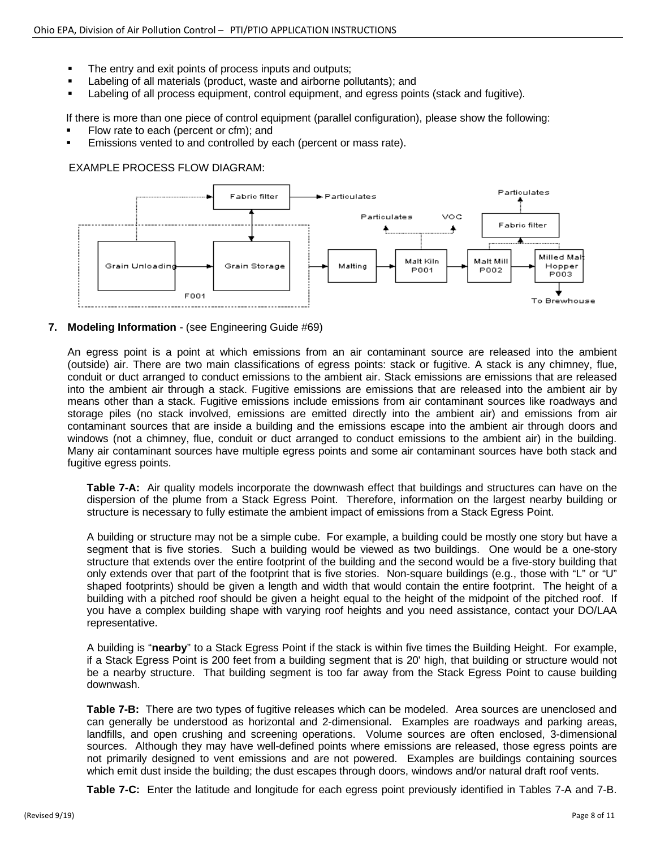- The entry and exit points of process inputs and outputs;
- Labeling of all materials (product, waste and airborne pollutants); and
- Labeling of all process equipment, control equipment, and egress points (stack and fugitive).

If there is more than one piece of control equipment (parallel configuration), please show the following:

- Flow rate to each (percent or cfm); and
- Emissions vented to and controlled by each (percent or mass rate).

### EXAMPLE PROCESS FLOW DIAGRAM:



# **7. Modeling Information** - (see Engineering Guide #69)

An egress point is a point at which emissions from an air contaminant source are released into the ambient (outside) air. There are two main classifications of egress points: stack or fugitive. A stack is any chimney, flue, conduit or duct arranged to conduct emissions to the ambient air. Stack emissions are emissions that are released into the ambient air through a stack. Fugitive emissions are emissions that are released into the ambient air by means other than a stack. Fugitive emissions include emissions from air contaminant sources like roadways and storage piles (no stack involved, emissions are emitted directly into the ambient air) and emissions from air contaminant sources that are inside a building and the emissions escape into the ambient air through doors and windows (not a chimney, flue, conduit or duct arranged to conduct emissions to the ambient air) in the building. Many air contaminant sources have multiple egress points and some air contaminant sources have both stack and fugitive egress points.

**Table 7-A:** Air quality models incorporate the downwash effect that buildings and structures can have on the dispersion of the plume from a Stack Egress Point. Therefore, information on the largest nearby building or structure is necessary to fully estimate the ambient impact of emissions from a Stack Egress Point.

A building or structure may not be a simple cube. For example, a building could be mostly one story but have a segment that is five stories. Such a building would be viewed as two buildings. One would be a one-story structure that extends over the entire footprint of the building and the second would be a five-story building that only extends over that part of the footprint that is five stories. Non-square buildings (e.g., those with "L" or "U" shaped footprints) should be given a length and width that would contain the entire footprint. The height of a building with a pitched roof should be given a height equal to the height of the midpoint of the pitched roof. If you have a complex building shape with varying roof heights and you need assistance, contact your DO/LAA representative.

A building is "**nearby**" to a Stack Egress Point if the stack is within five times the Building Height. For example, if a Stack Egress Point is 200 feet from a building segment that is 20' high, that building or structure would not be a nearby structure. That building segment is too far away from the Stack Egress Point to cause building downwash.

**Table 7-B:** There are two types of fugitive releases which can be modeled. Area sources are unenclosed and can generally be understood as horizontal and 2-dimensional. Examples are roadways and parking areas, landfills, and open crushing and screening operations. Volume sources are often enclosed, 3-dimensional sources. Although they may have well-defined points where emissions are released, those egress points are not primarily designed to vent emissions and are not powered. Examples are buildings containing sources which emit dust inside the building; the dust escapes through doors, windows and/or natural draft roof vents.

**Table 7-C:** Enter the latitude and longitude for each egress point previously identified in Tables 7-A and 7-B.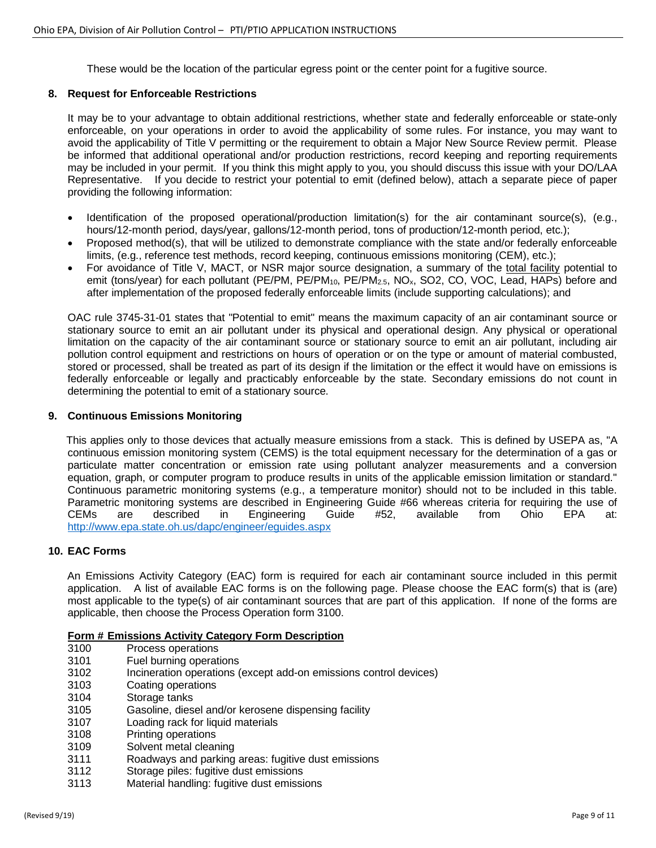These would be the location of the particular egress point or the center point for a fugitive source.

#### **8. Request for Enforceable Restrictions**

It may be to your advantage to obtain additional restrictions, whether state and federally enforceable or state-only enforceable, on your operations in order to avoid the applicability of some rules. For instance, you may want to avoid the applicability of Title V permitting or the requirement to obtain a Major New Source Review permit. Please be informed that additional operational and/or production restrictions, record keeping and reporting requirements may be included in your permit. If you think this might apply to you, you should discuss this issue with your DO/LAA Representative. If you decide to restrict your potential to emit (defined below), attach a separate piece of paper providing the following information:

- Identification of the proposed operational/production limitation(s) for the air contaminant source(s), (e.g., hours/12-month period, days/year, gallons/12-month period, tons of production/12-month period, etc.);
- Proposed method(s), that will be utilized to demonstrate compliance with the state and/or federally enforceable limits, (e.g., reference test methods, record keeping, continuous emissions monitoring (CEM), etc.);
- For avoidance of Title V, MACT, or NSR major source designation, a summary of the total facility potential to emit (tons/year) for each pollutant (PE/PM, PE/PM<sub>10</sub>, PE/PM<sub>2.5</sub>, NO<sub>x</sub>, SO2, CO, VOC, Lead, HAPs) before and after implementation of the proposed federally enforceable limits (include supporting calculations); and

OAC rule 3745-31-01 states that "Potential to emit" means the maximum capacity of an air contaminant source or stationary source to emit an air pollutant under its physical and operational design. Any physical or operational limitation on the capacity of the air contaminant source or stationary source to emit an air pollutant, including air pollution control equipment and restrictions on hours of operation or on the type or amount of material combusted, stored or processed, shall be treated as part of its design if the limitation or the effect it would have on emissions is federally enforceable or legally and practicably enforceable by the state. Secondary emissions do not count in determining the potential to emit of a stationary source.

#### **9. Continuous Emissions Monitoring**

This applies only to those devices that actually measure emissions from a stack. This is defined by USEPA as, "A continuous emission monitoring system (CEMS) is the total equipment necessary for the determination of a gas or particulate matter concentration or emission rate using pollutant analyzer measurements and a conversion equation, graph, or computer program to produce results in units of the applicable emission limitation or standard." Continuous parametric monitoring systems (e.g., a temperature monitor) should not to be included in this table. Parametric monitoring systems are described in Engineering Guide #66 whereas criteria for requiring the use of CEMs are described in Engineering Guide #52, available from Ohio EPA at: <http://www.epa.state.oh.us/dapc/engineer/eguides.aspx>

#### **10. EAC Forms**

An Emissions Activity Category (EAC) form is required for each air contaminant source included in this permit application. A list of available EAC forms is on the following page. Please choose the EAC form(s) that is (are) most applicable to the type(s) of air contaminant sources that are part of this application. If none of the forms are applicable, then choose the Process Operation form 3100.

# **Form # Emissions Activity Category Form Description**

- 3100 Process operations<br>3101 Fuel burning operat
- Fuel burning operations
- 3102 Incineration operations (except add-on emissions control devices)
- 3103 Coating operations
- 3104 Storage tanks
- 3105 Gasoline, diesel and/or kerosene dispensing facility
- 3107 Loading rack for liquid materials
- 3108 Printing operations
- 3109 Solvent metal cleaning
- 3111 Roadways and parking areas: fugitive dust emissions
- 3112 Storage piles: fugitive dust emissions
- Material handling: fugitive dust emissions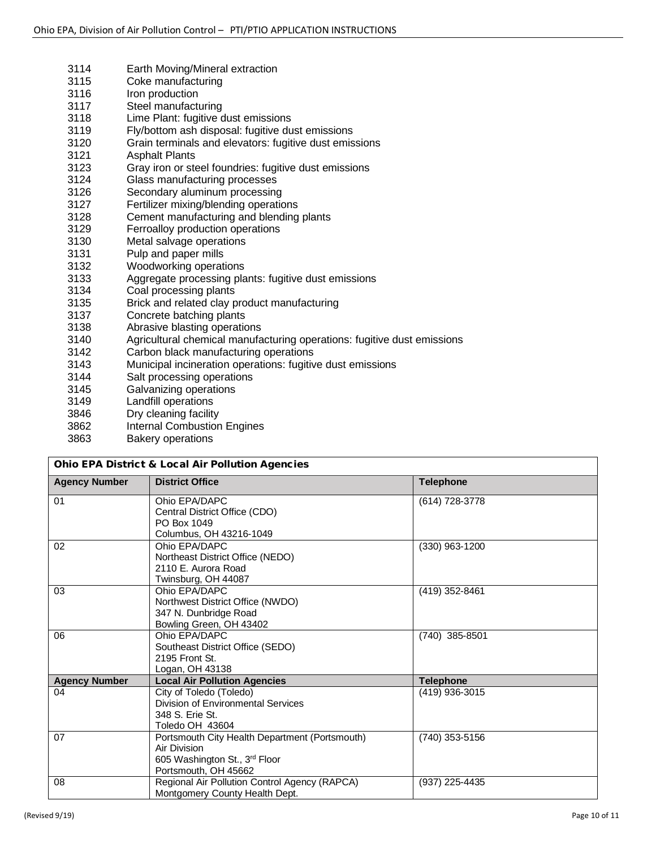3114 Earth Moving/Mineral extraction 3115 Coke manufacturing<br>3116 Iron production 3116 Iron production<br>3117 Steel manufact Steel manufacturing 3118 Lime Plant: fugitive dust emissions<br>3119 Fly/bottom ash disposal: fugitive du Fly/bottom ash disposal: fugitive dust emissions 3120 Grain terminals and elevators: fugitive dust emissions 3121 Asphalt Plants<br>3123 Gray iron or ste 3123 Gray iron or steel foundries: fugitive dust emissions<br>3124 Glass manufacturing processes Glass manufacturing processes 3126 Secondary aluminum processing 3127 Fertilizer mixing/blending operations 3128 Cement manufacturing and blending plants 3129 Ferroalloy production operations<br>3130 Metal salvage operations Metal salvage operations 3131 Pulp and paper mills 3132 Woodworking operations<br>3133 Agaregate processing pla Aggregate processing plants: fugitive dust emissions 3134 Coal processing plants 3135 Brick and related clay product manufacturing<br>3137 Concrete batching plants Concrete batching plants 3138 Abrasive blasting operations 3140 Agricultural chemical manufacturing operations: fugitive dust emissions Carbon black manufacturing operations 3143 Municipal incineration operations: fugitive dust emissions 3144 Salt processing operations<br>3145 Galvanizing operations Galvanizing operations 3149 Landfill operations 3846 Dry cleaning facility<br>3862 Internal Combustion Internal Combustion Engines 3863 Bakery operations

| <b>Ohio EPA District &amp; Local Air Pollution Agencies</b> |                                                                                                                         |                  |  |  |
|-------------------------------------------------------------|-------------------------------------------------------------------------------------------------------------------------|------------------|--|--|
| <b>Agency Number</b>                                        | <b>District Office</b>                                                                                                  | <b>Telephone</b> |  |  |
| 01                                                          | Ohio EPA/DAPC<br>Central District Office (CDO)<br>PO Box 1049<br>Columbus, OH 43216-1049                                | (614) 728-3778   |  |  |
| 02                                                          | Ohio EPA/DAPC<br>Northeast District Office (NEDO)<br>2110 E. Aurora Road<br>Twinsburg, OH 44087                         | (330) 963-1200   |  |  |
| 03                                                          | Ohio EPA/DAPC<br>Northwest District Office (NWDO)<br>347 N. Dunbridge Road<br>Bowling Green, OH 43402                   | (419) 352-8461   |  |  |
| 06                                                          | Ohio EPA/DAPC<br>Southeast District Office (SEDO)<br>2195 Front St.<br>Logan, OH 43138                                  | (740) 385-8501   |  |  |
| <b>Agency Number</b>                                        | <b>Local Air Pollution Agencies</b>                                                                                     | <b>Telephone</b> |  |  |
| 04                                                          | City of Toledo (Toledo)<br>Division of Environmental Services<br>348 S. Erie St.<br>Toledo OH 43604                     | (419) 936-3015   |  |  |
| 07                                                          | Portsmouth City Health Department (Portsmouth)<br>Air Division<br>605 Washington St., 3rd Floor<br>Portsmouth, OH 45662 | (740) 353-5156   |  |  |
| 08                                                          | Regional Air Pollution Control Agency (RAPCA)<br>Montgomery County Health Dept.                                         | (937) 225-4435   |  |  |